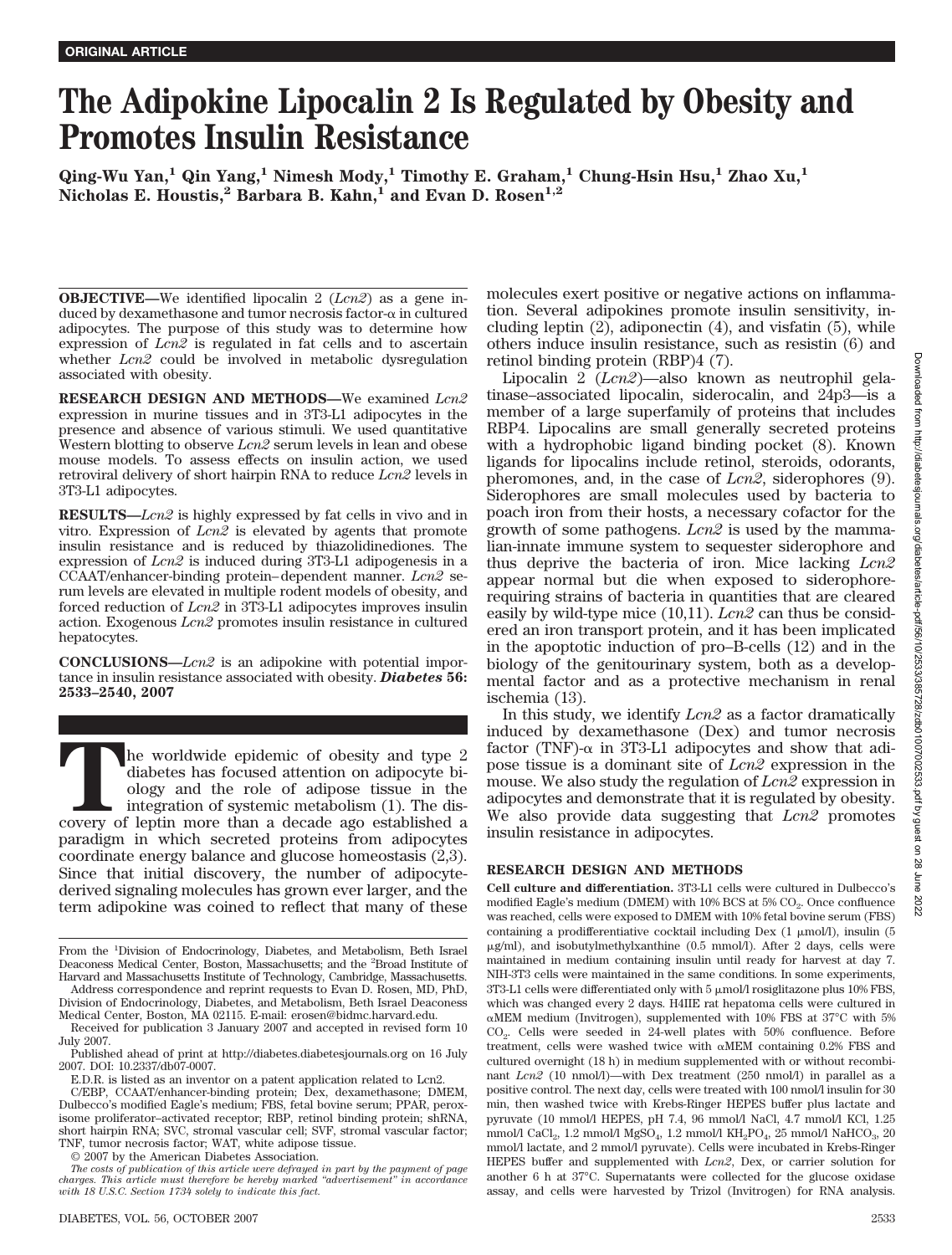# **The Adipokine Lipocalin 2 Is Regulated by Obesity and Promotes Insulin Resistance**

**Qing-Wu Yan,1 Qin Yang,1 Nimesh Mody,1 Timothy E. Graham,1 Chung-Hsin Hsu,1 Zhao Xu,1** Nicholas E. Houstis,<sup>2</sup> Barbara B. Kahn,<sup>1</sup> and Evan D. Rosen<sup>1,2</sup>

**OBJECTIVE—**We identified lipocalin 2 (*Lcn2*) as a gene induced by dexamethasone and tumor necrosis factor- $\alpha$  in cultured adipocytes. The purpose of this study was to determine how expression of *Lcn2* is regulated in fat cells and to ascertain whether *Lcn2* could be involved in metabolic dysregulation associated with obesity.

**RESEARCH DESIGN AND METHODS—**We examined *Lcn2* expression in murine tissues and in 3T3-L1 adipocytes in the presence and absence of various stimuli. We used quantitative Western blotting to observe *Lcn2* serum levels in lean and obese mouse models. To assess effects on insulin action, we used retroviral delivery of short hairpin RNA to reduce *Lcn2* levels in 3T3-L1 adipocytes.

**RESULTS—***Lcn2* is highly expressed by fat cells in vivo and in vitro. Expression of *Lcn2* is elevated by agents that promote insulin resistance and is reduced by thiazolidinediones. The expression of *Lcn2* is induced during 3T3-L1 adipogenesis in a CCAAT/enhancer-binding protein– dependent manner. *Lcn2* serum levels are elevated in multiple rodent models of obesity, and forced reduction of *Lcn2* in 3T3-L1 adipocytes improves insulin action. Exogenous *Lcn2* promotes insulin resistance in cultured hepatocytes.

**CONCLUSIONS—***Lcn2* is an adipokine with potential importance in insulin resistance associated with obesity. *Diabetes* **56: 2533–2540, 2007**

**T**he worldwide epidemic of obesity and type 2 diabetes has focused attention on adipocyte biology and the role of adipose tissue in the integration of systemic metabolism  $(1)$ . The discovery of leptin more than a decade ago established a paradigm in which secreted proteins from adipocytes coordinate energy balance and glucose homeostasis (2,3). Since that initial discovery, the number of adipocytederived signaling molecules has grown ever larger, and the term adipokine was coined to reflect that many of these

C/EBP, CCAAT/enhancer-binding protein; Dex, dexamethasone; DMEM, Dulbecco's modified Eagle's medium; FBS, fetal bovine serum; PPAR, peroxisome proliferator–activated receptor; RBP, retinol binding protein; shRNA, short hairpin RNA; SVC, stromal vascular cell; SVF, stromal vascular factor; TNF, tumor necrosis factor; WAT, white adipose tissue.

© 2007 by the American Diabetes Association.

molecules exert positive or negative actions on inflammation. Several adipokines promote insulin sensitivity, including leptin  $(2)$ , adiponectin  $(4)$ , and visfatin  $(5)$ , while others induce insulin resistance, such as resistin (6) and retinol binding protein (RBP)4 (7).

Lipocalin 2 (*Lcn2*)—also known as neutrophil gelatinase–associated lipocalin, siderocalin, and 24p3—is a member of a large superfamily of proteins that includes RBP4. Lipocalins are small generally secreted proteins with a hydrophobic ligand binding pocket (8). Known ligands for lipocalins include retinol, steroids, odorants, pheromones, and, in the case of *Lcn2*, siderophores (9). Siderophores are small molecules used by bacteria to poach iron from their hosts, a necessary cofactor for the growth of some pathogens. *Lcn2* is used by the mammalian-innate immune system to sequester siderophore and thus deprive the bacteria of iron. Mice lacking *Lcn2* appear normal but die when exposed to siderophorerequiring strains of bacteria in quantities that are cleared easily by wild-type mice (10,11). *Lcn2* can thus be considered an iron transport protein, and it has been implicated in the apoptotic induction of pro–B-cells (12) and in the biology of the genitourinary system, both as a developmental factor and as a protective mechanism in renal ischemia (13).

In this study, we identify *Lcn2* as a factor dramatically induced by dexamethasone (Dex) and tumor necrosis factor (TNF)- $\alpha$  in 3T3-L1 adipocytes and show that adipose tissue is a dominant site of *Lcn2* expression in the mouse. We also study the regulation of *Lcn2* expression in adipocytes and demonstrate that it is regulated by obesity. We also provide data suggesting that *Lcn2* promotes insulin resistance in adipocytes.

## **RESEARCH DESIGN AND METHODS**

**Cell culture and differentiation.** 3T3-L1 cells were cultured in Dulbecco's modified Eagle's medium (DMEM) with 10% BCS at 5%  $CO<sub>2</sub>$ . Once confluence was reached, cells were exposed to DMEM with 10% fetal bovine serum (FBS) containing a prodifferentiative cocktail including Dex  $(1 \mu \text{mol/l})$ , insulin  $(5 \mu \text{mol/l})$ -g/ml), and isobutylmethylxanthine (0.5 mmol/l). After 2 days, cells were maintained in medium containing insulin until ready for harvest at day 7. NIH-3T3 cells were maintained in the same conditions. In some experiments,  $3T3-L1$  cells were differentiated only with  $5 \mu$ mol/l rosiglitazone plus  $10\%$  FBS, which was changed every 2 days. H4IIE rat hepatoma cells were cultured in  $\alpha \rm{MEM}$  medium (Invitrogen), supplemented with 10% FBS at 37°C with 5% CO<sub>2</sub>. Cells were seeded in 24-well plates with 50% confluence. Before treatment, cells were washed twice with  $\alpha$ MEM containing 0.2% FBS and cultured overnight (18 h) in medium supplemented with or without recombinant *Lcn2* (10 nmol/l)—with Dex treatment (250 nmol/l) in parallel as a positive control. The next day, cells were treated with 100 nmol/l insulin for 30 min, then washed twice with Krebs-Ringer HEPES buffer plus lactate and pyruvate (10 mmol/l HEPES, pH 7.4, 96 mmol/l NaCl, 4.7 mmol/l KCl, 1.25 mmol/l CaCl<sub>2</sub>, 1.2 mmol/l MgSO<sub>4</sub>, 1.2 mmol/l KH<sub>2</sub>PO<sub>4</sub>, 25 mmol/l NaHCO<sub>3</sub>, 20 mmol/l lactate, and 2 mmol/l pyruvate). Cells were incubated in Krebs-Ringer HEPES buffer and supplemented with *Lcn2*, Dex, or carrier solution for another 6 h at 37°C. Supernatants were collected for the glucose oxidase assay, and cells were harvested by Trizol (Invitrogen) for RNA analysis.

From the <sup>1</sup>Division of Endocrinology, Diabetes, and Metabolism, Beth Israel Deaconess Medical Center, Boston, Massachusetts; and the <sup>2</sup>Broad Institute of Harvard and Massachusetts Institute of Technology, Cambridge, Massachusetts.

Address correspondence and reprint requests to Evan D. Rosen, MD, PhD, Division of Endocrinology, Diabetes, and Metabolism, Beth Israel Deaconess Medical Center, Boston, MA 02115. E-mail: erosen@bidmc.harvard.edu.

Received for publication 3 January 2007 and accepted in revised form 10 July 2007.

Published ahead of print at http://diabetes.diabetesjournals.org on 16 July 2007. DOI: 10.2337/db07-0007.

E.D.R. is listed as an inventor on a patent application related to Lcn2.

*The costs of publication of this article were defrayed in part by the payment of page charges. This article must therefore be hereby marked "advertisement" in accordance with 18 U.S.C. Section 1734 solely to indicate this fact.*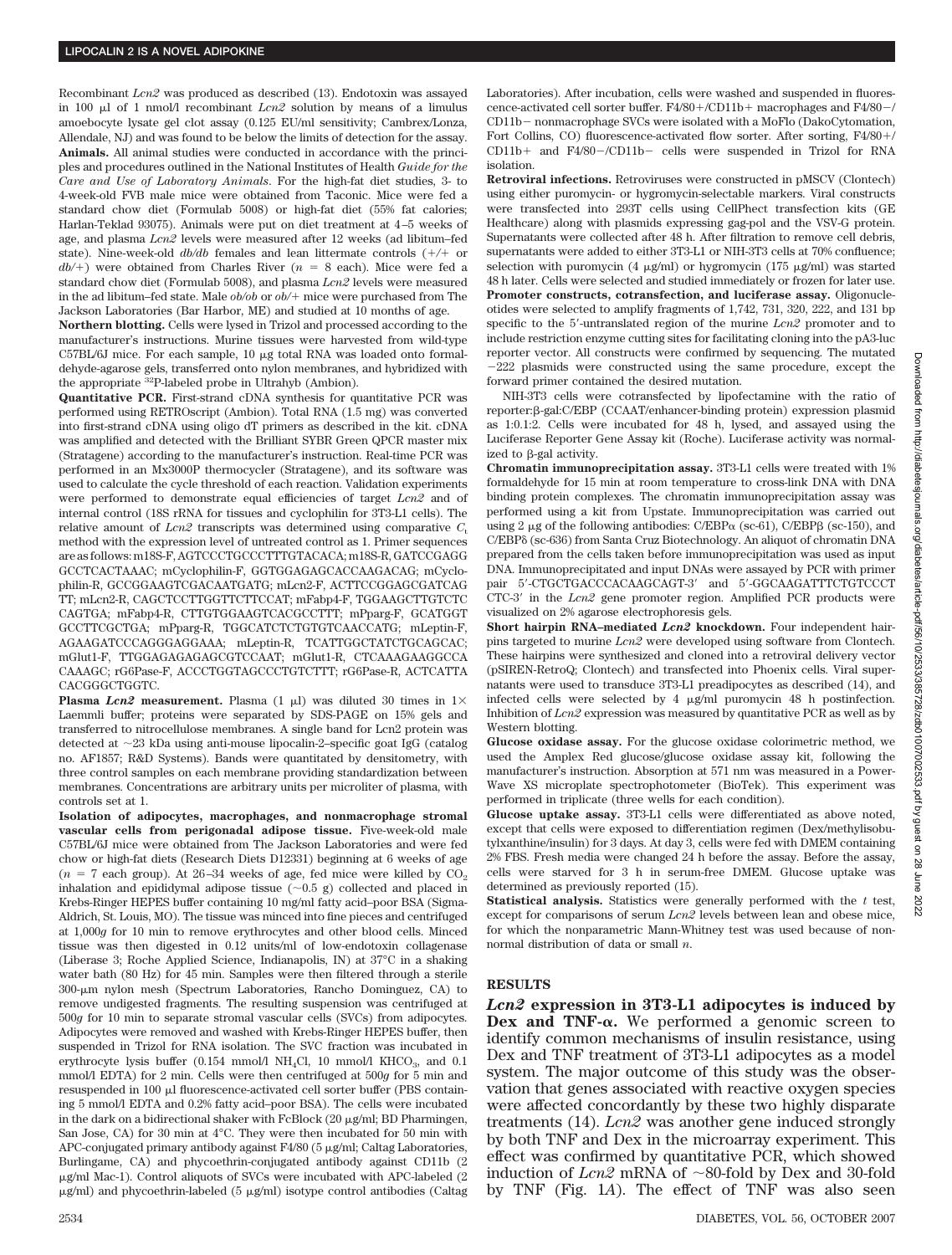Recombinant *Lcn2* was produced as described (13). Endotoxin was assayed in 100  $\mu$ l of 1 nmol/l recombinant *Lcn2* solution by means of a limulus amoebocyte lysate gel clot assay (0.125 EU/ml sensitivity; Cambrex/Lonza, Allendale, NJ) and was found to be below the limits of detection for the assay. **Animals.** All animal studies were conducted in accordance with the principles and procedures outlined in the National Institutes of Health *Guide for the Care and Use of Laboratory Animals*. For the high-fat diet studies, 3- to 4-week-old FVB male mice were obtained from Taconic. Mice were fed a standard chow diet (Formulab 5008) or high-fat diet (55% fat calories; Harlan-Teklad 93075). Animals were put on diet treatment at 4 –5 weeks of age, and plasma *Lcn2* levels were measured after 12 weeks (ad libitum–fed state). Nine-week-old  $db/db$  females and lean littermate controls  $(+/+)$  or  $db/+$ ) were obtained from Charles River ( $n = 8$  each). Mice were fed a standard chow diet (Formulab 5008), and plasma *Lcn2* levels were measured in the ad libitum–fed state. Male  $ob/ob$  or  $ob/$ + mice were purchased from The Jackson Laboratories (Bar Harbor, ME) and studied at 10 months of age.

**Northern blotting.** Cells were lysed in Trizol and processed according to the manufacturer's instructions. Murine tissues were harvested from wild-type  $C57BL/6J$  mice. For each sample,  $10 \mu g$  total RNA was loaded onto formaldehyde-agarose gels, transferred onto nylon membranes, and hybridized with the appropriate 32P-labeled probe in Ultrahyb (Ambion).

**Quantitative PCR.** First-strand cDNA synthesis for quantitative PCR was performed using RETROscript (Ambion). Total RNA (1.5 mg) was converted into first-strand cDNA using oligo dT primers as described in the kit. cDNA was amplified and detected with the Brilliant SYBR Green QPCR master mix (Stratagene) according to the manufacturer's instruction. Real-time PCR was performed in an Mx3000P thermocycler (Stratagene), and its software was used to calculate the cycle threshold of each reaction. Validation experiments were performed to demonstrate equal efficiencies of target *Lcn2* and of internal control (18S rRNA for tissues and cyclophilin for 3T3-L1 cells). The relative amount of  $Lcn2$  transcripts was determined using comparative  $C<sub>t</sub>$ method with the expression level of untreated control as 1. Primer sequences are as follows: m18S-F, AGTCCCTGCCCTTTGTACACA; m18S-R, GATCCGAGG GCCTCACTAAAC; mCyclophilin-F, GGTGGAGAGCACCAAGACAG; mCyclophilin-R, GCCGGAAGTCGACAATGATG; mLcn2-F, ACTTCCGGAGCGATCAG TT; mLcn2-R, CAGCTCCTTGGTTCTTCCAT; mFabp4-F, TGGAAGCTTGTCTC CAGTGA; mFabp4-R, CTTGTGGAAGTCACGCCTTT; mPparg-F, GCATGGT GCCTTCGCTGA; mPparg-R, TGGCATCTCTGTGTCAACCATG; mLeptin-F, AGAAGATCCCAGGGAGGAAA; mLeptin-R, TCATTGGCTATCTGCAGCAC; mGlut1-F, TTGGAGAGAGAGCGTCCAAT; mGlut1-R, CTCAAAGAAGGCCA CAAAGC; rG6Pase-F, ACCCTGGTAGCCCTGTCTTT; rG6Pase-R, ACTCATTA CACGGGCTGGTC.

**Plasma** *Lcn2* **measurement.** Plasma  $(1 \mu I)$  was diluted 30 times in  $1 \times$ Laemmli buffer; proteins were separated by SDS-PAGE on 15% gels and transferred to nitrocellulose membranes. A single band for Lcn2 protein was detected at 23 kDa using anti-mouse lipocalin-2–specific goat IgG (catalog no. AF1857; R&D Systems). Bands were quantitated by densitometry, with three control samples on each membrane providing standardization between membranes. Concentrations are arbitrary units per microliter of plasma, with controls set at 1.

**Isolation of adipocytes, macrophages, and nonmacrophage stromal vascular cells from perigonadal adipose tissue.** Five-week-old male C57BL/6J mice were obtained from The Jackson Laboratories and were fed chow or high-fat diets (Research Diets D12331) beginning at 6 weeks of age ( $n = 7$  each group). At 26-34 weeks of age, fed mice were killed by  $CO<sub>2</sub>$ inhalation and epididymal adipose tissue  $(\sim 0.5 \text{ g})$  collected and placed in Krebs-Ringer HEPES buffer containing 10 mg/ml fatty acid–poor BSA (Sigma-Aldrich, St. Louis, MO). The tissue was minced into fine pieces and centrifuged at 1,000*g* for 10 min to remove erythrocytes and other blood cells. Minced tissue was then digested in 0.12 units/ml of low-endotoxin collagenase (Liberase 3; Roche Applied Science, Indianapolis, IN) at 37°C in a shaking water bath (80 Hz) for 45 min. Samples were then filtered through a sterile 300-µm nylon mesh (Spectrum Laboratories, Rancho Dominguez, CA) to remove undigested fragments. The resulting suspension was centrifuged at 500*g* for 10 min to separate stromal vascular cells (SVCs) from adipocytes. Adipocytes were removed and washed with Krebs-Ringer HEPES buffer, then suspended in Trizol for RNA isolation. The SVC fraction was incubated in erythrocyte lysis buffer (0.154 mmol/l NH<sub>4</sub>Cl, 10 mmol/l KHCO<sub>3</sub>, and 0.1 mmol/l EDTA) for 2 min. Cells were then centrifuged at 500*g* for 5 min and resuspended in 100 µl fluorescence-activated cell sorter buffer (PBS containing 5 mmol/l EDTA and 0.2% fatty acid–poor BSA). The cells were incubated in the dark on a bidirectional shaker with FcBlock (20 µg/ml; BD Pharmingen, San Jose, CA) for 30 min at 4°C. They were then incubated for 50 min with APC-conjugated primary antibody against F4/80 (5 µg/ml; Caltag Laboratories, Burlingame, CA) and phycoethrin-conjugated antibody against CD11b (2 µg/ml Mac-1). Control aliquots of SVCs were incubated with APC-labeled (2  $\mu$ g/ml) and phycoethrin-labeled (5  $\mu$ g/ml) isotype control antibodies (Caltag

Laboratories). After incubation, cells were washed and suspended in fluorescence-activated cell sorter buffer.  $F4/80+$ /CD11b + macrophages and  $F4/80-$ / CD11b – nonmacrophage SVCs were isolated with a MoFlo (DakoCytomation, Fort Collins, CO) fluorescence-activated flow sorter. After sorting, F4/80+/  $CD11b+$  and  $F4/80-$ /CD11b- cells were suspended in Trizol for RNA isolation.

**Retroviral infections.** Retroviruses were constructed in pMSCV (Clontech) using either puromycin- or hygromycin-selectable markers. Viral constructs were transfected into 293T cells using CellPhect transfection kits (GE Healthcare) along with plasmids expressing gag-pol and the VSV-G protein. Supernatants were collected after 48 h. After filtration to remove cell debris, supernatants were added to either 3T3-L1 or NIH-3T3 cells at 70% confluence; selection with puromycin  $(4 \mu g/ml)$  or hygromycin  $(175 \mu g/ml)$  was started 48 h later. Cells were selected and studied immediately or frozen for later use. **Promoter constructs, cotransfection, and luciferase assay.** Oligonucleotides were selected to amplify fragments of 1,742, 731, 320, 222, and 131 bp specific to the 5-untranslated region of the murine *Lcn2* promoter and to include restriction enzyme cutting sites for facilitating cloning into the pA3-luc reporter vector. All constructs were confirmed by sequencing. The mutated 222 plasmids were constructed using the same procedure, except the forward primer contained the desired mutation.

NIH-3T3 cells were cotransfected by lipofectamine with the ratio of reporter:β-gal:C/EBP (CCAAT/enhancer-binding protein) expression plasmid as 1:0.1:2. Cells were incubated for 48 h, lysed, and assayed using the Luciferase Reporter Gene Assay kit (Roche). Luciferase activity was normalized to  $\beta$ -gal activity.

**Chromatin immunoprecipitation assay.** 3T3-L1 cells were treated with 1% formaldehyde for 15 min at room temperature to cross-link DNA with DNA binding protein complexes. The chromatin immunoprecipitation assay was performed using a kit from Upstate. Immunoprecipitation was carried out using 2  $\mu$ g of the following antibodies: C/EBP $\alpha$  (sc-61), C/EBP $\beta$  (sc-150), and C/EBP (sc-636) from Santa Cruz Biotechnology. An aliquot of chromatin DNA prepared from the cells taken before immunoprecipitation was used as input DNA. Immunoprecipitated and input DNAs were assayed by PCR with primer pair 5'-CTGCTGACCCACAAGCAGT-3' and 5'-GGCAAGATTTCTGTCCCT CTC-3' in the *Lcn2* gene promoter region. Amplified PCR products were visualized on 2% agarose electrophoresis gels.

**Short hairpin RNA–mediated** *Lcn2* **knockdown.** Four independent hairpins targeted to murine *Lcn2* were developed using software from Clontech. These hairpins were synthesized and cloned into a retroviral delivery vector (pSIREN-RetroQ; Clontech) and transfected into Phoenix cells. Viral supernatants were used to transduce 3T3-L1 preadipocytes as described (14), and infected cells were selected by  $4 \mu g/ml$  puromycin  $48$  h postinfection. Inhibition of *Lcn2* expression was measured by quantitative PCR as well as by Western blotting.

**Glucose oxidase assay.** For the glucose oxidase colorimetric method, we used the Amplex Red glucose/glucose oxidase assay kit, following the manufacturer's instruction. Absorption at 571 nm was measured in a Power-Wave XS microplate spectrophotometer (BioTek). This experiment was performed in triplicate (three wells for each condition).

**Glucose uptake assay.** 3T3-L1 cells were differentiated as above noted, except that cells were exposed to differentiation regimen (Dex/methylisobutylxanthine/insulin) for 3 days. At day 3, cells were fed with DMEM containing 2% FBS. Fresh media were changed 24 h before the assay. Before the assay, cells were starved for 3 h in serum-free DMEM. Glucose uptake was determined as previously reported (15).

**Statistical analysis.** Statistics were generally performed with the *t* test, except for comparisons of serum *Lcn2* levels between lean and obese mice, for which the nonparametric Mann-Whitney test was used because of nonnormal distribution of data or small *n*.

## **RESULTS**

*Lcn2* **expression in 3T3-L1 adipocytes is induced by Dex and TNF-** $\alpha$ **. We performed a genomic screen to** identify common mechanisms of insulin resistance, using Dex and TNF treatment of 3T3-L1 adipocytes as a model system. The major outcome of this study was the observation that genes associated with reactive oxygen species were affected concordantly by these two highly disparate treatments (14). *Lcn2* was another gene induced strongly by both TNF and Dex in the microarray experiment. This effect was confirmed by quantitative PCR, which showed induction of  $Lcn2$  mRNA of  $\sim$ 80-fold by Dex and 30-fold by TNF (Fig. 1*A*). The effect of TNF was also seen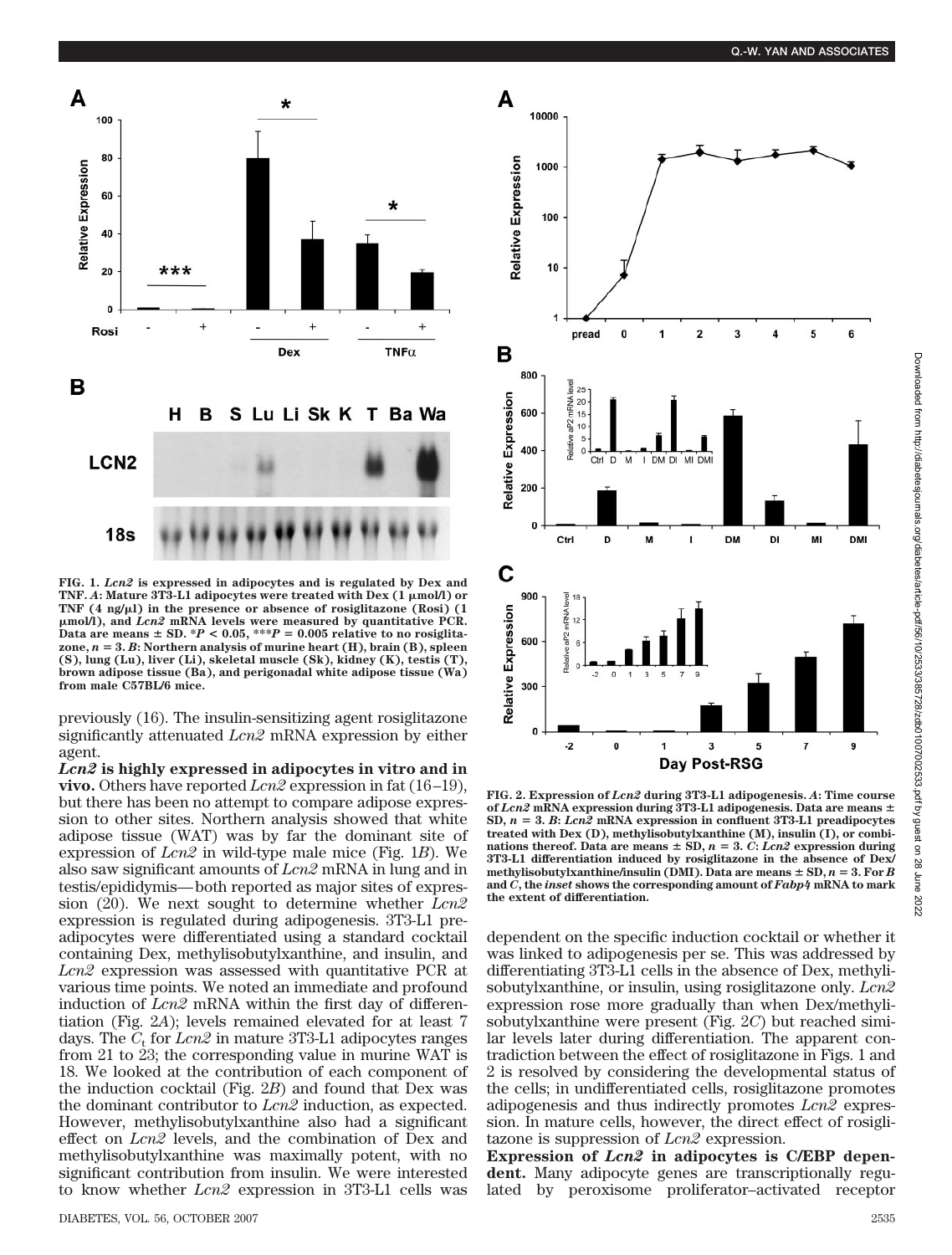

**FIG. 1.** *Lcn2* **is expressed in adipocytes and is regulated by Dex and TNF. A: Mature 3T3-L1 adipocytes were treated with Dex (1 μmol/l) or** TNF (4 ng/ $\mu$ l) in the presence or absence of rosiglitazone (Rosi) (1 -**mol/l), and** *Lcn2* **mRNA levels were measured by quantitative PCR.** Data are means  $\pm$  SD.  $*P$  < 0.05,  $***P$  = 0.005 relative to no rosiglita**zone,** *n* **3.** *B***: Northern analysis of murine heart (H), brain (B), spleen (S), lung (Lu), liver (Li), skeletal muscle (Sk), kidney (K), testis (T), brown adipose tissue (Ba), and perigonadal white adipose tissue (Wa) from male C57BL/6 mice.**

previously (16). The insulin-sensitizing agent rosiglitazone significantly attenuated *Lcn2* mRNA expression by either agent.

*Lcn2* **is highly expressed in adipocytes in vitro and in vivo.** Others have reported *Lcn2* expression in fat (16 –19), but there has been no attempt to compare adipose expression to other sites. Northern analysis showed that white adipose tissue (WAT) was by far the dominant site of expression of *Lcn2* in wild-type male mice (Fig. 1*B*). We also saw significant amounts of *Lcn2* mRNA in lung and in testis/epididymis— both reported as major sites of expression (20). We next sought to determine whether *Lcn2* expression is regulated during adipogenesis. 3T3-L1 preadipocytes were differentiated using a standard cocktail containing Dex, methylisobutylxanthine, and insulin, and *Lcn2* expression was assessed with quantitative PCR at various time points. We noted an immediate and profound induction of *Lcn2* mRNA within the first day of differentiation (Fig. 2*A*); levels remained elevated for at least 7 days. The  $C_t$  for  $Lcn2$  in mature 3T3-L1 adipocytes ranges from 21 to 23; the corresponding value in murine WAT is 18. We looked at the contribution of each component of the induction cocktail (Fig. 2*B*) and found that Dex was the dominant contributor to *Lcn2* induction, as expected. However, methylisobutylxanthine also had a significant effect on *Lcn2* levels, and the combination of Dex and methylisobutylxanthine was maximally potent, with no significant contribution from insulin. We were interested to know whether *Lcn2* expression in 3T3-L1 cells was



**FIG. 2. Expression of** *Lcn2* **during 3T3-L1 adipogenesis.** *A***: Time course of** *Lcn2* **mRNA expression during 3T3-L1 adipogenesis. Data are means** SD,  $n = 3$ . *B*: *Lcn2* **mRNA** expression in confluent 3T3-L1 preadipocytes **treated with Dex (D), methylisobutylxanthine (M), insulin (I), or combinations thereof.** Data are means  $\pm$  SD,  $n = 3$ , C; Lcn2 expression during **3T3-L1 differentiation induced by rosiglitazone in the absence of Dex/** methylisobutylxanthine/insulin (DMI). Data are means  $\pm$  SD,  $n = 3$ . For *B* **and** *C***, the** *inset* **shows the corresponding amount of** *Fabp4* **mRNA to mark the extent of differentiation.**

dependent on the specific induction cocktail or whether it was linked to adipogenesis per se. This was addressed by differentiating 3T3-L1 cells in the absence of Dex, methylisobutylxanthine, or insulin, using rosiglitazone only. *Lcn2* expression rose more gradually than when Dex/methylisobutylxanthine were present (Fig. 2*C*) but reached similar levels later during differentiation. The apparent contradiction between the effect of rosiglitazone in Figs. 1 and 2 is resolved by considering the developmental status of the cells; in undifferentiated cells, rosiglitazone promotes adipogenesis and thus indirectly promotes *Lcn2* expression. In mature cells, however, the direct effect of rosiglitazone is suppression of *Lcn2* expression.

**Expression of** *Lcn2* **in adipocytes is C/EBP dependent.** Many adipocyte genes are transcriptionally regulated by peroxisome proliferator–activated receptor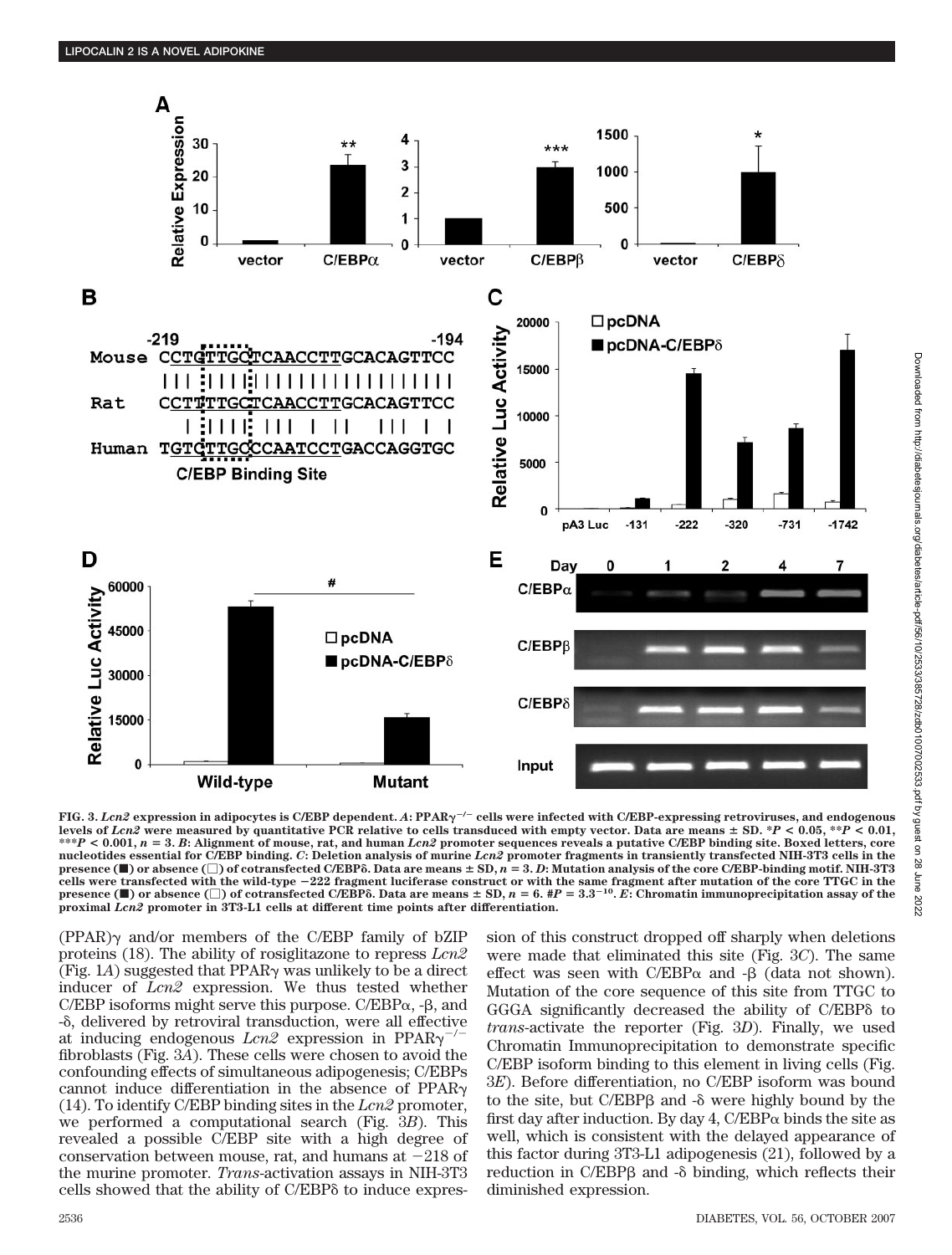

**FIG. 3.** *Lcn2* **expression in adipocytes is C/EBP dependent.** *A***: PPAR/ cells were infected with C/EBP-expressing retroviruses, and endogenous levels of** *Lcn2* **were measured by quantitative PCR relative to cells transduced with empty vector. Data are means SD. \****P* **< 0.05, \*\****P* **< 0.01, \*\*\****P* **< 0.001,** *n* **3.** *B***: Alignment of mouse, rat, and human** *Lcn2* **promoter sequences reveals a putative C/EBP binding site. Boxed letters, core nucleotides essential for C/EBP binding.** *C***: Deletion analysis of murine** *Lcn2* **promoter fragments in transiently transfected NIH-3T3 cells in the presence (** $\blacksquare$ **)** or absence ( $\Box$ ) of cotransfected C/EBP $\delta$ . Data are means  $\pm$  SD,  $n = 3$ . D: Mutation analysis of the core C/EBP-binding motif. NIH-3T3 cells were transfected with the wild-type  $-222$  fragment luciferase construct or with the same fragment after mutation of the core TTGC in the presence ( $\blacksquare$ ) or absence ( $\Box$ ) of cotransfected C/EBPô. Data are means **proximal** *Lcn2* **promoter in 3T3-L1 cells at different time points after differentiation.**

 $(PPAR)$  and/or members of the C/EBP family of bZIP proteins (18). The ability of rosiglitazone to repress *Lcn2* (Fig. 1*A*) suggested that  $PPAR\gamma$  was unlikely to be a direct inducer of *Lcn2* expression. We thus tested whether C/EBP isoforms might serve this purpose. C/EBP $\alpha$ , - $\beta$ , and - , delivered by retroviral transduction, were all effective at inducing endogenous *Lcn2* expression in PPAR/ fibroblasts (Fig. 3*A*). These cells were chosen to avoid the confounding effects of simultaneous adipogenesis; C/EBPs cannot induce differentiation in the absence of PPAR (14). To identify C/EBP binding sites in the *Lcn2* promoter, we performed a computational search (Fig. 3*B*). This revealed a possible C/EBP site with a high degree of conservation between mouse, rat, and humans at  $-218$  of the murine promoter. *Trans*-activation assays in NIH-3T3 cells showed that the ability of C/EBP to induce expression of this construct dropped off sharply when deletions were made that eliminated this site (Fig. 3*C*). The same effect was seen with  $C/EBP\alpha$  and  $-\beta$  (data not shown). Mutation of the core sequence of this site from TTGC to GGGA significantly decreased the ability of C/EBP to *trans*-activate the reporter (Fig. 3*D*). Finally, we used Chromatin Immunoprecipitation to demonstrate specific C/EBP isoform binding to this element in living cells (Fig. 3*E*). Before differentiation, no C/EBP isoform was bound to the site, but  $C/EBP\beta$  and  $-\delta$  were highly bound by the first day after induction. By day 4,  $C/EBP\alpha$  binds the site as well, which is consistent with the delayed appearance of this factor during 3T3-L1 adipogenesis (21), followed by a reduction in C/EBPß and - $\delta$  binding, which reflects their diminished expression.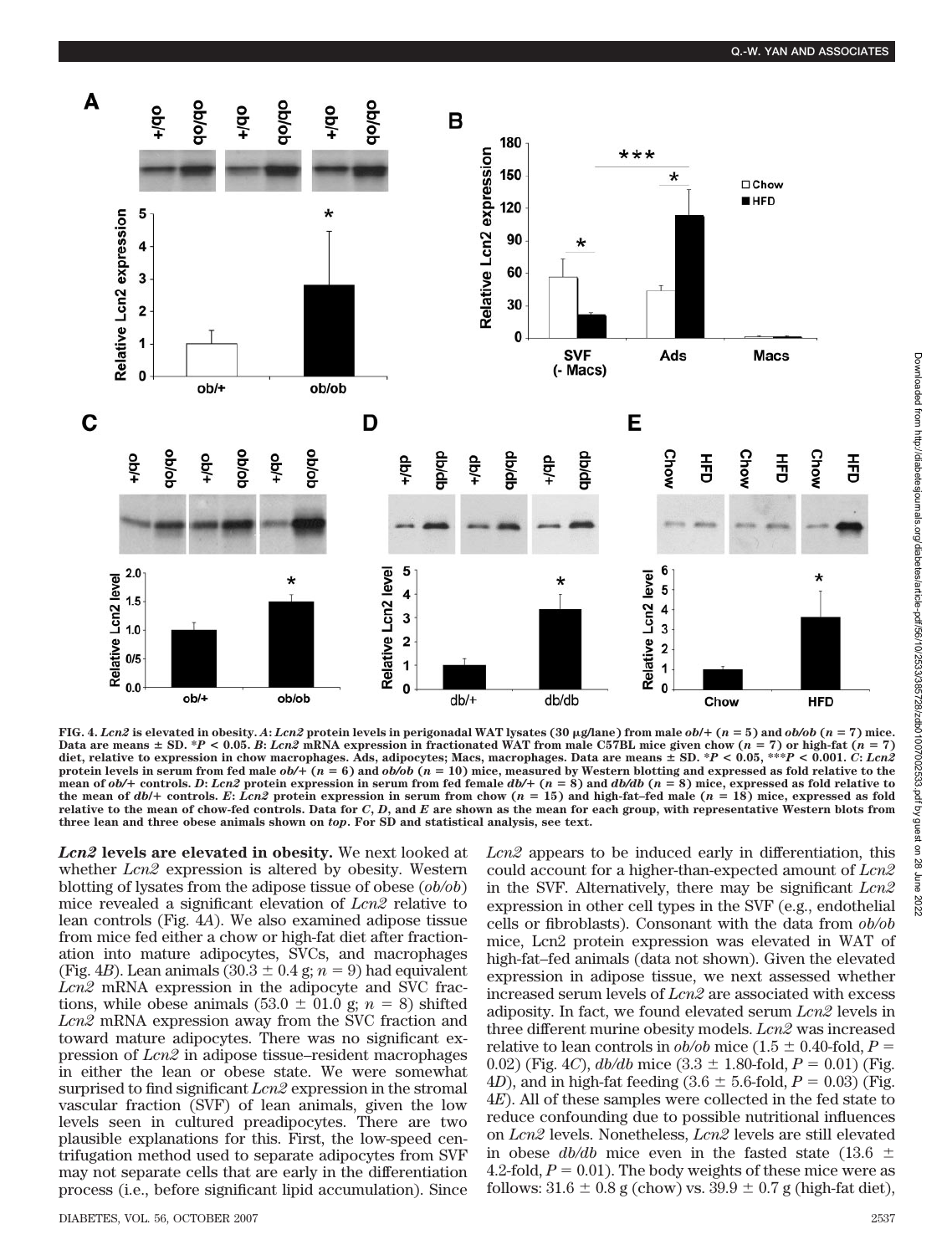

FIG. 4. Lcn2 is elevated in obesity. A: Lcn2 protein levels in perigonadal WAT lysates (30 µg/lane) from male  $ob/+(n=5)$  and  $ob/ob$  (n = 7) mice. Data are means  $\pm$  SD.  $*P$  < 0.05. *B*: *Lcn2* mRNA expression in fractionated WAT from male C57BL mice given chow ( $n = 7$ ) or high-fat ( $n = 7$ ) **diet, relative to expression in chow macrophages. Ads, adipocytes; Macs, macrophages. Data are means SD. \****P* **< 0.05, \*\*\****P* **< 0.001.** *C***:** *Lcn2* **protein levels in serum from fed male** *ob/* **(***n* **6) and** *ob/ob* **(***n* **10) mice, measured by Western blotting and expressed as fold relative to the** mean of  $ob/$ + controls. D: Lcn2 protein expression in serum from fed female  $db/$ +  $(n = 8)$  and  $db/db$   $(n = 8)$  mice, expressed as fold relative to the mean of  $db$  + controls. E: Lcn2 protein expression in serum from chow ( $n = 15$ ) and high-fat-fed male ( $n = 18$ ) mice, expressed as fold **relative to the mean of chow-fed controls. Data for** *C***,** *D***, and** *E* **are shown as the mean for each group, with representative Western blots from three lean and three obese animals shown on** *top***. For SD and statistical analysis, see text.**

*Lcn2* **levels are elevated in obesity.** We next looked at whether *Lcn2* expression is altered by obesity. Western blotting of lysates from the adipose tissue of obese (*ob/ob*) mice revealed a significant elevation of *Lcn2* relative to lean controls (Fig. 4*A*). We also examined adipose tissue from mice fed either a chow or high-fat diet after fractionation into mature adipocytes, SVCs, and macrophages (Fig. 4*B*). Lean animals  $(30.3 \pm 0.4 \text{ g}; n = 9)$  had equivalent *Lcn2* mRNA expression in the adipocyte and SVC fractions, while obese animals (53.0  $\pm$  01.0 g; *n* = 8) shifted *Lcn2* mRNA expression away from the SVC fraction and toward mature adipocytes. There was no significant expression of *Lcn2* in adipose tissue–resident macrophages in either the lean or obese state. We were somewhat surprised to find significant *Lcn2* expression in the stromal vascular fraction (SVF) of lean animals, given the low levels seen in cultured preadipocytes. There are two plausible explanations for this. First, the low-speed centrifugation method used to separate adipocytes from SVF may not separate cells that are early in the differentiation process (i.e., before significant lipid accumulation). Since

DIABETES, VOL. 56, OCTOBER 2007 2537

*Lcn2* appears to be induced early in differentiation, this could account for a higher-than-expected amount of *Lcn2* in the SVF. Alternatively, there may be significant *Lcn2* expression in other cell types in the SVF (e.g., endothelial cells or fibroblasts). Consonant with the data from *ob/ob* mice, Lcn2 protein expression was elevated in WAT of high-fat–fed animals (data not shown). Given the elevated expression in adipose tissue, we next assessed whether increased serum levels of *Lcn2* are associated with excess adiposity. In fact, we found elevated serum *Lcn2* levels in three different murine obesity models. *Lcn2* was increased relative to lean controls in  $ob/ob$  mice (1.5  $\pm$  0.40-fold, *P* = 0.02) (Fig. 4*C*),  $db/db$  mice  $(3.3 \pm 1.80 \text{-} \text{fold}, P = 0.01)$  (Fig. 4*D*), and in high-fat feeding  $(3.6 \pm 5.6 \text{-} \text{fold}, P = 0.03)$  (Fig. 4*E*). All of these samples were collected in the fed state to reduce confounding due to possible nutritional influences on *Lcn2* levels. Nonetheless, *Lcn2* levels are still elevated in obese  $db/db$  mice even in the fasted state (13.6  $\pm$ 4.2-fold,  $P = 0.01$ ). The body weights of these mice were as follows:  $31.6 \pm 0.8$  g (chow) vs.  $39.9 \pm 0.7$  g (high-fat diet),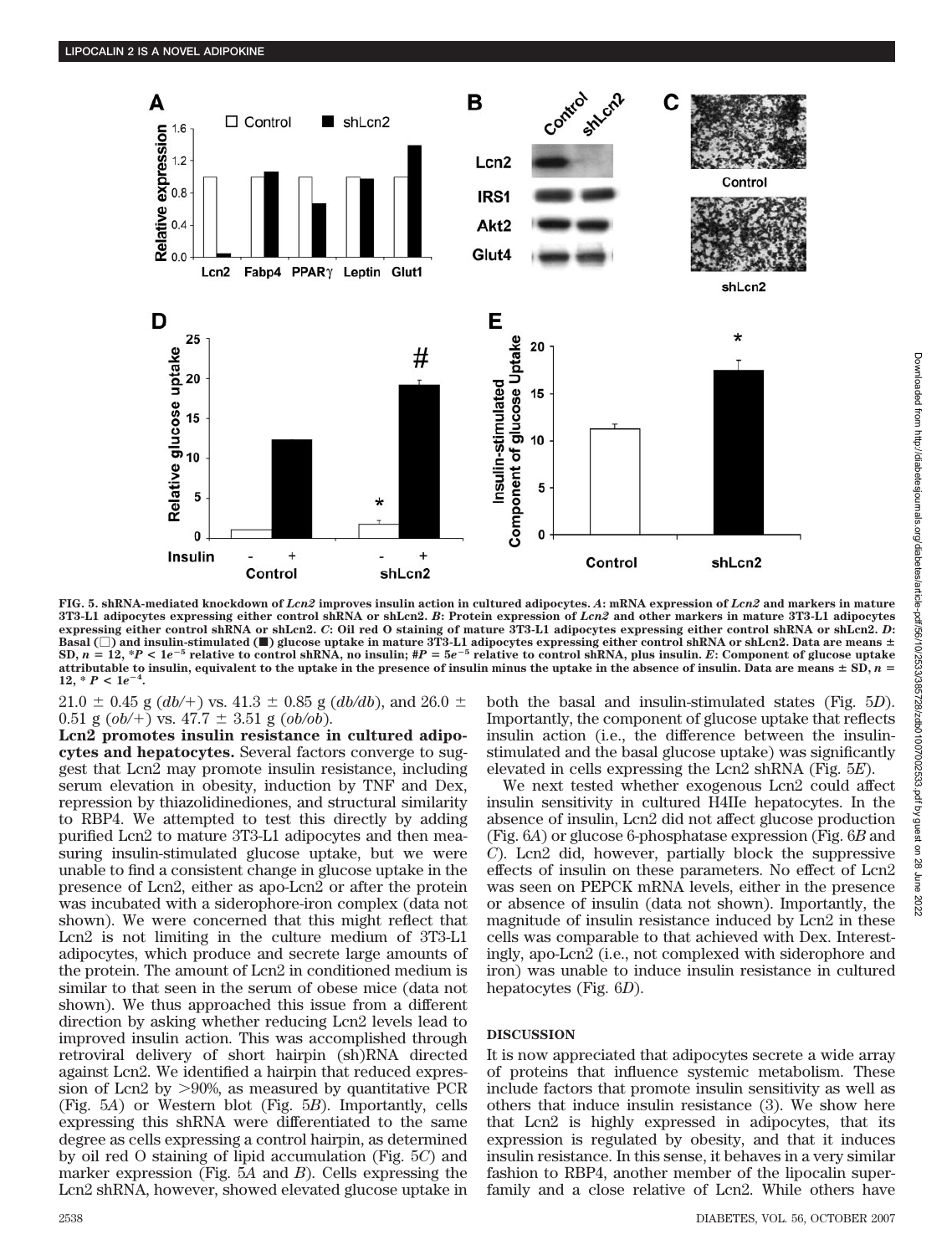

**FIG. 5. shRNA-mediated knockdown of** *Lcn2* **improves insulin action in cultured adipocytes.** *A***: mRNA expression of** *Lcn2* **and markers in mature 3T3-L1 adipocytes expressing either control shRNA or shLcn2.** *B***: Protein expression of** *Lcn2* **and other markers in mature 3T3-L1 adipocytes expressing either control shRNA or shLcn2.** *C***: Oil red O staining of mature 3T3-L1 adipocytes expressing either control shRNA or shLcn2.** *D***: Basal () and insulin-stimulated (**f**) glucose uptake in mature 3T3-L1 adipocytes expressing either control shRNA or shLcn2. Data are means** SD,  $n = 12$ , \*P < 1e<sup>-5</sup> relative to control shRNA, no insulin; #P = 5e<sup>-5</sup> relative to control shRNA, plus insulin. E: Component of glucose uptake **attributable to insulin, equivalent to the uptake in the presence of insulin minus the uptake in the absence of insulin. Data are means**  $\pm$  **SD,**  $n =$  $12, *P < 1e^{-4}$ **.**

 $21.0 \pm 0.45$  g (*db*/+) vs.  $41.3 \pm 0.85$  g (*db/db*), and  $26.0 \pm 0.01$  $0.51$  g  $(obj/+)$  vs.  $47.7 \pm 3.51$  g  $(obj/ob)$ .

**Lcn2 promotes insulin resistance in cultured adipocytes and hepatocytes.** Several factors converge to suggest that Lcn2 may promote insulin resistance, including serum elevation in obesity, induction by TNF and Dex, repression by thiazolidinediones, and structural similarity to RBP4. We attempted to test this directly by adding purified Lcn2 to mature 3T3-L1 adipocytes and then measuring insulin-stimulated glucose uptake, but we were unable to find a consistent change in glucose uptake in the presence of Lcn2, either as apo-Lcn2 or after the protein was incubated with a siderophore-iron complex (data not shown). We were concerned that this might reflect that Lcn2 is not limiting in the culture medium of 3T3-L1 adipocytes, which produce and secrete large amounts of the protein. The amount of Lcn2 in conditioned medium is similar to that seen in the serum of obese mice (data not shown). We thus approached this issue from a different direction by asking whether reducing Lcn2 levels lead to improved insulin action. This was accomplished through retroviral delivery of short hairpin (sh)RNA directed against Lcn2. We identified a hairpin that reduced expression of Lcn2 by 90%, as measured by quantitative PCR (Fig. 5*A*) or Western blot (Fig. 5*B*). Importantly, cells expressing this shRNA were differentiated to the same degree as cells expressing a control hairpin, as determined by oil red O staining of lipid accumulation (Fig. 5*C*) and marker expression (Fig. 5*A* and *B*). Cells expressing the Lcn2 shRNA, however, showed elevated glucose uptake in

both the basal and insulin-stimulated states (Fig. 5*D*). Importantly, the component of glucose uptake that reflects insulin action (i.e., the difference between the insulinstimulated and the basal glucose uptake) was significantly elevated in cells expressing the Lcn2 shRNA (Fig. 5*E*).

We next tested whether exogenous Lcn2 could affect insulin sensitivity in cultured H4IIe hepatocytes. In the absence of insulin, Lcn2 did not affect glucose production (Fig. 6*A*) or glucose 6-phosphatase expression (Fig. 6*B* and *C*). Lcn2 did, however, partially block the suppressive effects of insulin on these parameters. No effect of Lcn2 was seen on PEPCK mRNA levels, either in the presence or absence of insulin (data not shown). Importantly, the magnitude of insulin resistance induced by Lcn2 in these cells was comparable to that achieved with Dex. Interestingly, apo-Lcn2 (i.e., not complexed with siderophore and iron) was unable to induce insulin resistance in cultured hepatocytes (Fig. 6*D*).

## **DISCUSSION**

It is now appreciated that adipocytes secrete a wide array of proteins that influence systemic metabolism. These include factors that promote insulin sensitivity as well as others that induce insulin resistance (3). We show here that Lcn2 is highly expressed in adipocytes, that its expression is regulated by obesity, and that it induces insulin resistance. In this sense, it behaves in a very similar fashion to RBP4, another member of the lipocalin superfamily and a close relative of Lcn2. While others have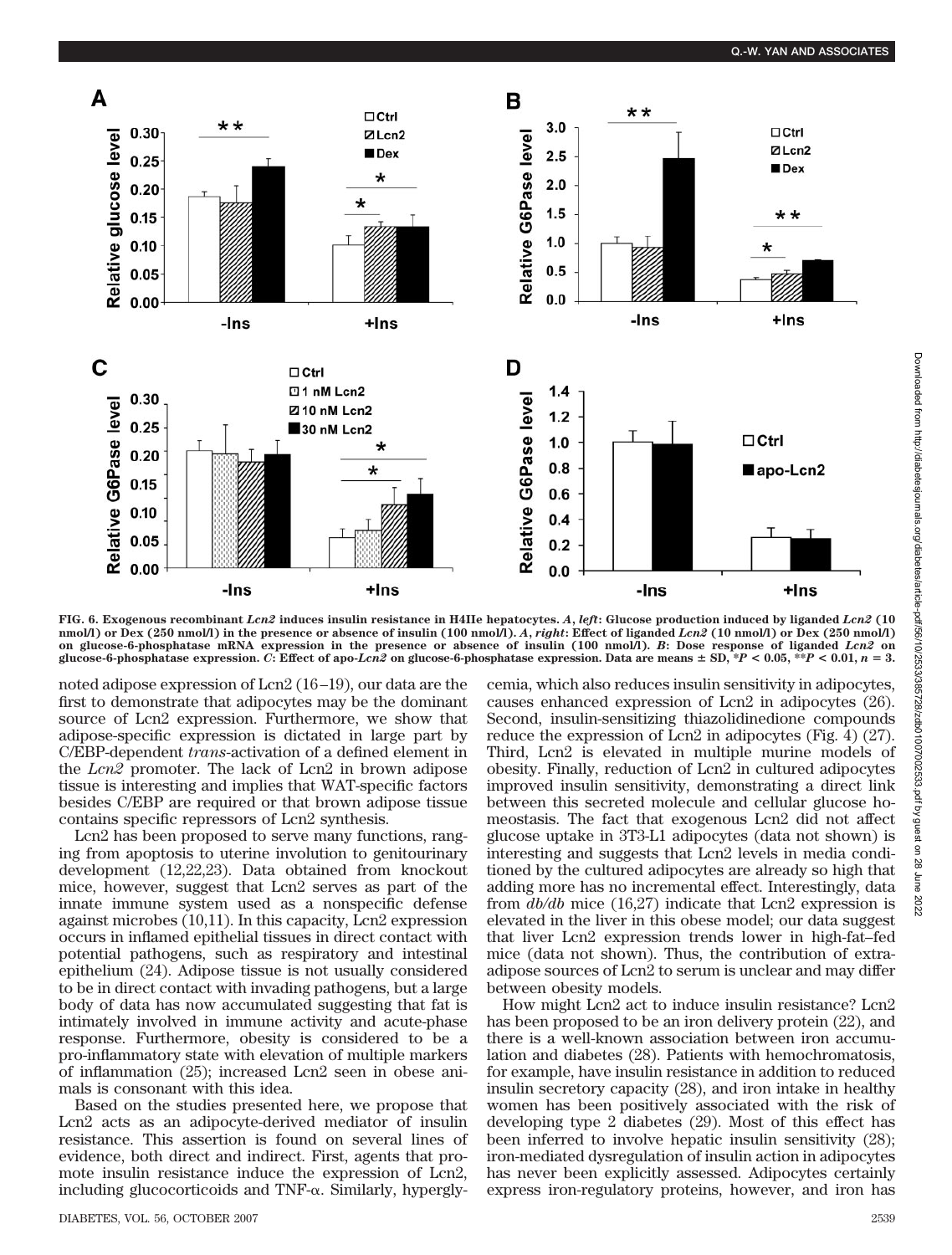

**FIG. 6. Exogenous recombinant** *Lcn2* **induces insulin resistance in H4IIe hepatocytes.** *A***,** *left***: Glucose production induced by liganded** *Lcn2* **(10 nmol/l) or Dex (250 nmol/l) in the presence or absence of insulin (100 nmol/l).** *A***,** *right***: Effect of liganded** *Lcn2* **(10 nmol/l) or Dex (250 nmol/l) on glucose-6-phosphatase mRNA expression in the presence or absence of insulin (100 nmol/l).** *B***: Dose response of liganded** *Lcn2* **on** glucose-6-phosphatase expression. C: Effect of apo-Lcn2 on glucose-6-phosphatase expression. Data are means  $\pm$  SD,  $*P$  < 0.05,  $*P$  < 0.01, n = 3.

noted adipose expression of Lcn2 (16 –19), our data are the first to demonstrate that adipocytes may be the dominant source of Lcn2 expression. Furthermore, we show that adipose-specific expression is dictated in large part by C/EBP-dependent *trans*-activation of a defined element in the *Lcn2* promoter. The lack of Lcn2 in brown adipose tissue is interesting and implies that WAT-specific factors besides C/EBP are required or that brown adipose tissue contains specific repressors of Lcn2 synthesis.

Lcn2 has been proposed to serve many functions, ranging from apoptosis to uterine involution to genitourinary development (12,22,23). Data obtained from knockout mice, however, suggest that Lcn2 serves as part of the innate immune system used as a nonspecific defense against microbes (10,11). In this capacity, Lcn2 expression occurs in inflamed epithelial tissues in direct contact with potential pathogens, such as respiratory and intestinal epithelium (24). Adipose tissue is not usually considered to be in direct contact with invading pathogens, but a large body of data has now accumulated suggesting that fat is intimately involved in immune activity and acute-phase response. Furthermore, obesity is considered to be a pro-inflammatory state with elevation of multiple markers of inflammation (25); increased Lcn2 seen in obese animals is consonant with this idea.

Based on the studies presented here, we propose that Lcn2 acts as an adipocyte-derived mediator of insulin resistance. This assertion is found on several lines of evidence, both direct and indirect. First, agents that promote insulin resistance induce the expression of Lcn2, including glucocorticoids and TNF- $\alpha$ . Similarly, hypergly-

DIABETES, VOL. 56, OCTOBER 2007 2539

cemia, which also reduces insulin sensitivity in adipocytes, causes enhanced expression of Lcn2 in adipocytes (26). Second, insulin-sensitizing thiazolidinedione compounds reduce the expression of Lcn2 in adipocytes (Fig. 4) (27). Third, Lcn2 is elevated in multiple murine models of obesity. Finally, reduction of Lcn2 in cultured adipocytes improved insulin sensitivity, demonstrating a direct link between this secreted molecule and cellular glucose homeostasis. The fact that exogenous Lcn2 did not affect glucose uptake in 3T3-L1 adipocytes (data not shown) is interesting and suggests that Lcn2 levels in media conditioned by the cultured adipocytes are already so high that adding more has no incremental effect. Interestingly, data from *db/db* mice (16,27) indicate that Lcn2 expression is elevated in the liver in this obese model; our data suggest that liver Lcn2 expression trends lower in high-fat–fed mice (data not shown). Thus, the contribution of extraadipose sources of Lcn2 to serum is unclear and may differ between obesity models.

How might Lcn2 act to induce insulin resistance? Lcn2 has been proposed to be an iron delivery protein (22), and there is a well-known association between iron accumulation and diabetes (28). Patients with hemochromatosis, for example, have insulin resistance in addition to reduced insulin secretory capacity (28), and iron intake in healthy women has been positively associated with the risk of developing type 2 diabetes (29). Most of this effect has been inferred to involve hepatic insulin sensitivity (28); iron-mediated dysregulation of insulin action in adipocytes has never been explicitly assessed. Adipocytes certainly express iron-regulatory proteins, however, and iron has